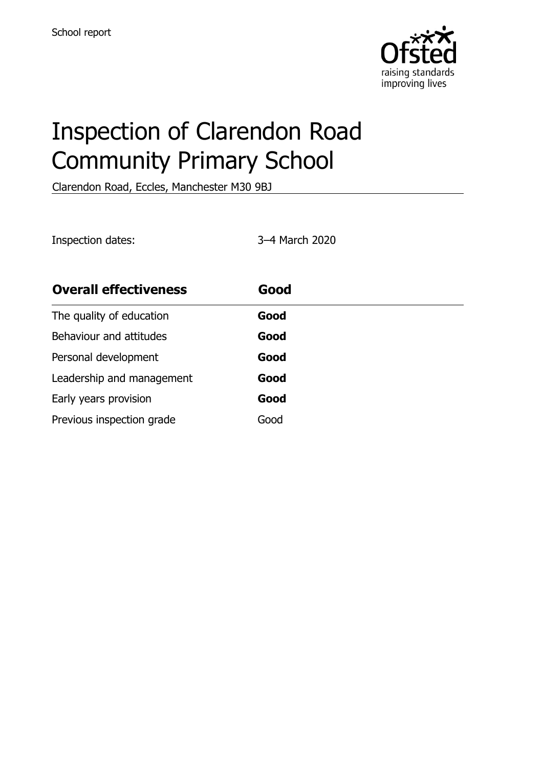

# Inspection of Clarendon Road Community Primary School

Clarendon Road, Eccles, Manchester M30 9BJ

Inspection dates: 3–4 March 2020

| <b>Overall effectiveness</b> | Good |
|------------------------------|------|
| The quality of education     | Good |
| Behaviour and attitudes      | Good |
| Personal development         | Good |
| Leadership and management    | Good |
| Early years provision        | Good |
| Previous inspection grade    | Good |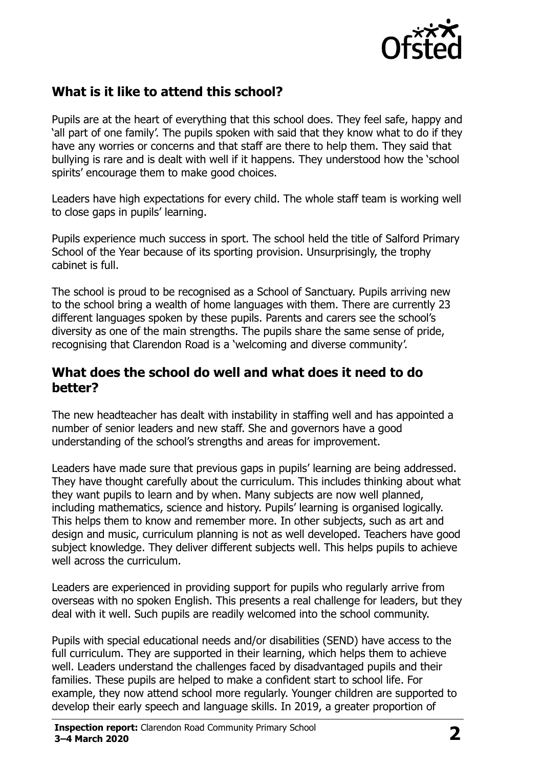

### **What is it like to attend this school?**

Pupils are at the heart of everything that this school does. They feel safe, happy and 'all part of one family'. The pupils spoken with said that they know what to do if they have any worries or concerns and that staff are there to help them. They said that bullying is rare and is dealt with well if it happens. They understood how the 'school spirits' encourage them to make good choices.

Leaders have high expectations for every child. The whole staff team is working well to close gaps in pupils' learning.

Pupils experience much success in sport. The school held the title of Salford Primary School of the Year because of its sporting provision. Unsurprisingly, the trophy cabinet is full.

The school is proud to be recognised as a School of Sanctuary. Pupils arriving new to the school bring a wealth of home languages with them. There are currently 23 different languages spoken by these pupils. Parents and carers see the school's diversity as one of the main strengths. The pupils share the same sense of pride, recognising that Clarendon Road is a 'welcoming and diverse community'.

#### **What does the school do well and what does it need to do better?**

The new headteacher has dealt with instability in staffing well and has appointed a number of senior leaders and new staff. She and governors have a good understanding of the school's strengths and areas for improvement.

Leaders have made sure that previous gaps in pupils' learning are being addressed. They have thought carefully about the curriculum. This includes thinking about what they want pupils to learn and by when. Many subjects are now well planned, including mathematics, science and history. Pupils' learning is organised logically. This helps them to know and remember more. In other subjects, such as art and design and music, curriculum planning is not as well developed. Teachers have good subject knowledge. They deliver different subjects well. This helps pupils to achieve well across the curriculum.

Leaders are experienced in providing support for pupils who regularly arrive from overseas with no spoken English. This presents a real challenge for leaders, but they deal with it well. Such pupils are readily welcomed into the school community.

Pupils with special educational needs and/or disabilities (SEND) have access to the full curriculum. They are supported in their learning, which helps them to achieve well. Leaders understand the challenges faced by disadvantaged pupils and their families. These pupils are helped to make a confident start to school life. For example, they now attend school more regularly. Younger children are supported to develop their early speech and language skills. In 2019, a greater proportion of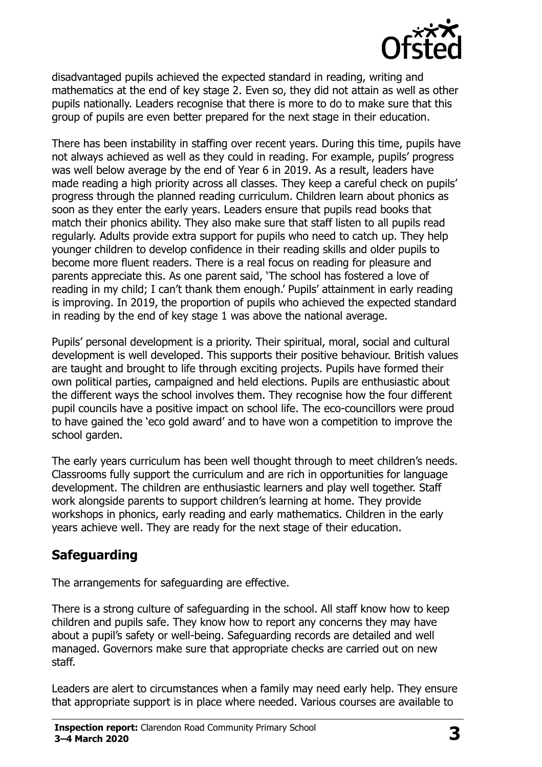

disadvantaged pupils achieved the expected standard in reading, writing and mathematics at the end of key stage 2. Even so, they did not attain as well as other pupils nationally. Leaders recognise that there is more to do to make sure that this group of pupils are even better prepared for the next stage in their education.

There has been instability in staffing over recent years. During this time, pupils have not always achieved as well as they could in reading. For example, pupils' progress was well below average by the end of Year 6 in 2019. As a result, leaders have made reading a high priority across all classes. They keep a careful check on pupils' progress through the planned reading curriculum. Children learn about phonics as soon as they enter the early years. Leaders ensure that pupils read books that match their phonics ability. They also make sure that staff listen to all pupils read regularly. Adults provide extra support for pupils who need to catch up. They help younger children to develop confidence in their reading skills and older pupils to become more fluent readers. There is a real focus on reading for pleasure and parents appreciate this. As one parent said, 'The school has fostered a love of reading in my child; I can't thank them enough.' Pupils' attainment in early reading is improving. In 2019, the proportion of pupils who achieved the expected standard in reading by the end of key stage 1 was above the national average.

Pupils' personal development is a priority. Their spiritual, moral, social and cultural development is well developed. This supports their positive behaviour. British values are taught and brought to life through exciting projects. Pupils have formed their own political parties, campaigned and held elections. Pupils are enthusiastic about the different ways the school involves them. They recognise how the four different pupil councils have a positive impact on school life. The eco-councillors were proud to have gained the 'eco gold award' and to have won a competition to improve the school garden.

The early years curriculum has been well thought through to meet children's needs. Classrooms fully support the curriculum and are rich in opportunities for language development. The children are enthusiastic learners and play well together. Staff work alongside parents to support children's learning at home. They provide workshops in phonics, early reading and early mathematics. Children in the early years achieve well. They are ready for the next stage of their education.

#### **Safeguarding**

The arrangements for safeguarding are effective.

There is a strong culture of safeguarding in the school. All staff know how to keep children and pupils safe. They know how to report any concerns they may have about a pupil's safety or well-being. Safeguarding records are detailed and well managed. Governors make sure that appropriate checks are carried out on new staff.

Leaders are alert to circumstances when a family may need early help. They ensure that appropriate support is in place where needed. Various courses are available to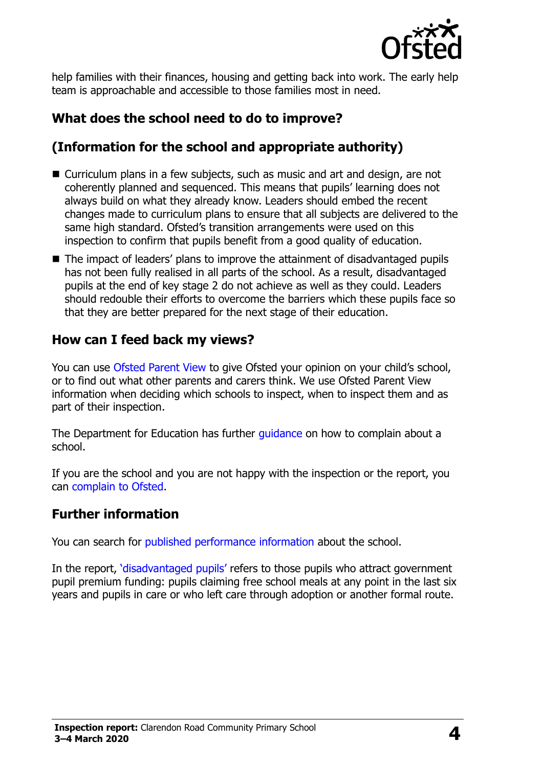

help families with their finances, housing and getting back into work. The early help team is approachable and accessible to those families most in need.

# **What does the school need to do to improve?**

# **(Information for the school and appropriate authority)**

- Curriculum plans in a few subjects, such as music and art and design, are not coherently planned and sequenced. This means that pupils' learning does not always build on what they already know. Leaders should embed the recent changes made to curriculum plans to ensure that all subjects are delivered to the same high standard. Ofsted's transition arrangements were used on this inspection to confirm that pupils benefit from a good quality of education.
- The impact of leaders' plans to improve the attainment of disadvantaged pupils has not been fully realised in all parts of the school. As a result, disadvantaged pupils at the end of key stage 2 do not achieve as well as they could. Leaders should redouble their efforts to overcome the barriers which these pupils face so that they are better prepared for the next stage of their education.

#### **How can I feed back my views?**

You can use [Ofsted Parent View](http://parentview.ofsted.gov.uk/) to give Ofsted your opinion on your child's school, or to find out what other parents and carers think. We use Ofsted Parent View information when deciding which schools to inspect, when to inspect them and as part of their inspection.

The Department for Education has further quidance on how to complain about a school.

If you are the school and you are not happy with the inspection or the report, you can [complain to Ofsted.](http://www.gov.uk/complain-ofsted-report)

#### **Further information**

You can search for [published performance information](http://www.compare-school-performance.service.gov.uk/) about the school.

In the report, '[disadvantaged pupils](http://www.gov.uk/guidance/pupil-premium-information-for-schools-and-alternative-provision-settings)' refers to those pupils who attract government pupil premium funding: pupils claiming free school meals at any point in the last six years and pupils in care or who left care through adoption or another formal route.

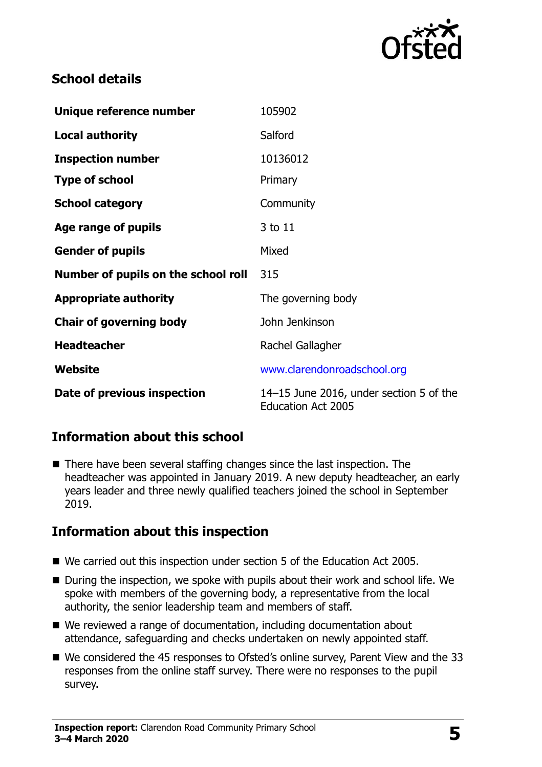

#### **School details**

| Unique reference number             | 105902                                                               |
|-------------------------------------|----------------------------------------------------------------------|
| <b>Local authority</b>              | Salford                                                              |
| <b>Inspection number</b>            | 10136012                                                             |
| <b>Type of school</b>               | Primary                                                              |
| <b>School category</b>              | Community                                                            |
| Age range of pupils                 | 3 to 11                                                              |
| <b>Gender of pupils</b>             | Mixed                                                                |
| Number of pupils on the school roll | 315                                                                  |
| <b>Appropriate authority</b>        | The governing body                                                   |
| <b>Chair of governing body</b>      | John Jenkinson                                                       |
| <b>Headteacher</b>                  | Rachel Gallagher                                                     |
| Website                             | www.clarendonroadschool.org                                          |
| Date of previous inspection         | 14–15 June 2016, under section 5 of the<br><b>Education Act 2005</b> |

## **Information about this school**

■ There have been several staffing changes since the last inspection. The headteacher was appointed in January 2019. A new deputy headteacher, an early years leader and three newly qualified teachers joined the school in September 2019.

# **Information about this inspection**

- We carried out this inspection under section 5 of the Education Act 2005.
- During the inspection, we spoke with pupils about their work and school life. We spoke with members of the governing body, a representative from the local authority, the senior leadership team and members of staff.
- We reviewed a range of documentation, including documentation about attendance, safeguarding and checks undertaken on newly appointed staff.
- We considered the 45 responses to Ofsted's online survey, Parent View and the 33 responses from the online staff survey. There were no responses to the pupil survey.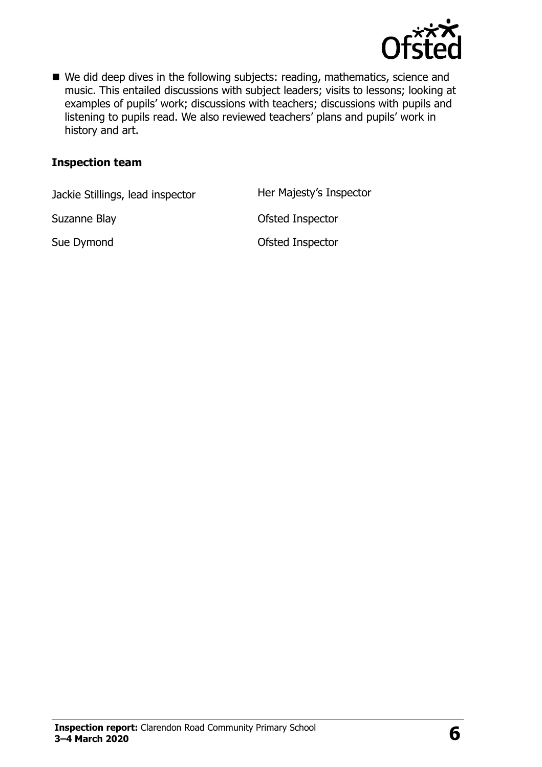

■ We did deep dives in the following subjects: reading, mathematics, science and music. This entailed discussions with subject leaders; visits to lessons; looking at examples of pupils' work; discussions with teachers; discussions with pupils and listening to pupils read. We also reviewed teachers' plans and pupils' work in history and art.

#### **Inspection team**

Jackie Stillings, lead inspector Her Majesty's Inspector

Suzanne Blay **Contract Contract Contract Contract Contract Contract Contract Contract Contract Contract Contract Contract Contract Contract Contract Contract Contract Contract Contract Contract Contract Contract Contract C** 

Sue Dymond **Calculation** Ofsted Inspector